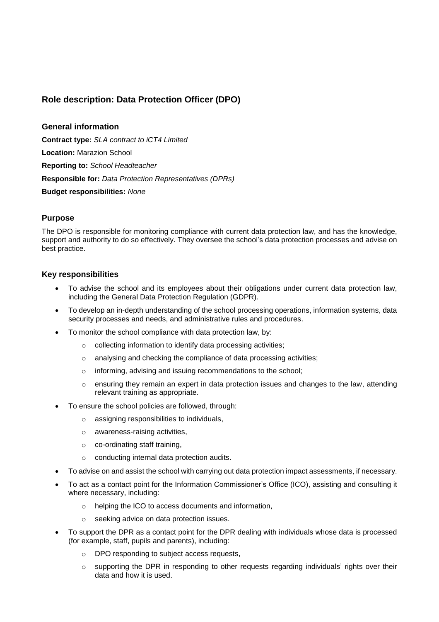## **Role description: Data Protection Officer (DPO)**

**General information Contract type:** *SLA contract to iCT4 Limited* **Location:** Marazion School **Reporting to:** *School Headteacher* **Responsible for:** *Data Protection Representatives (DPRs)* **Budget responsibilities:** *None*

## **Purpose**

The DPO is responsible for monitoring compliance with current data protection law, and has the knowledge, support and authority to do so effectively. They oversee the school's data protection processes and advise on best practice.

## **Key responsibilities**

- To advise the school and its employees about their obligations under current data protection law, including the General Data Protection Regulation (GDPR).
- To develop an in-depth understanding of the school processing operations, information systems, data security processes and needs, and administrative rules and procedures.
- To monitor the school compliance with data protection law, by:
	- o collecting information to identify data processing activities;
	- o analysing and checking the compliance of data processing activities;
	- o informing, advising and issuing recommendations to the school;
	- o ensuring they remain an expert in data protection issues and changes to the law, attending relevant training as appropriate.
- To ensure the school policies are followed, through:
	- o assigning responsibilities to individuals,
	- o awareness-raising activities,
	- o co-ordinating staff training,
	- o conducting internal data protection audits.
- To advise on and assist the school with carrying out data protection impact assessments, if necessary.
- To act as a contact point for the Information Commissioner's Office (ICO), assisting and consulting it where necessary, including:
	- o helping the ICO to access documents and information,
	- o seeking advice on data protection issues.
- To support the DPR as a contact point for the DPR dealing with individuals whose data is processed (for example, staff, pupils and parents), including:
	- o DPO responding to subject access requests,
	- $\circ$  supporting the DPR in responding to other requests regarding individuals' rights over their data and how it is used.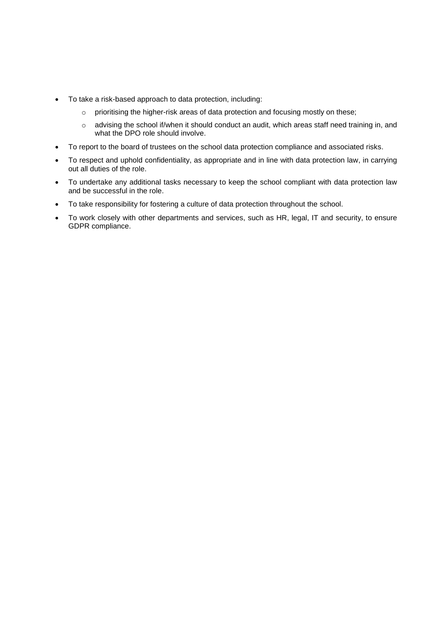- To take a risk-based approach to data protection, including:
	- o prioritising the higher-risk areas of data protection and focusing mostly on these;
	- o advising the school if/when it should conduct an audit, which areas staff need training in, and what the DPO role should involve.
- To report to the board of trustees on the school data protection compliance and associated risks.
- To respect and uphold confidentiality, as appropriate and in line with data protection law, in carrying out all duties of the role.
- To undertake any additional tasks necessary to keep the school compliant with data protection law and be successful in the role.
- To take responsibility for fostering a culture of data protection throughout the school.
- To work closely with other departments and services, such as HR, legal, IT and security, to ensure GDPR compliance.